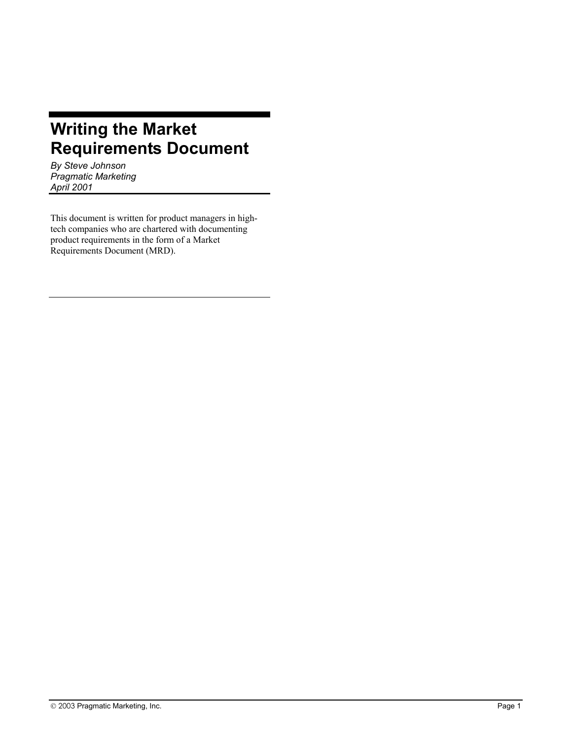# **Writing the Market Requirements Document**

*By Steve Johnson Pragmatic Marketing April 2001* 

This document is written for product managers in hightech companies who are chartered with documenting product requirements in the form of a Market Requirements Document (MRD).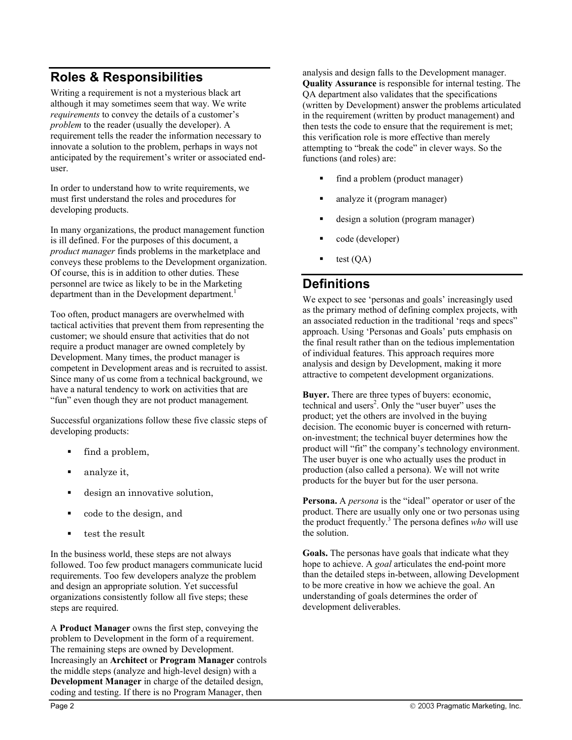## **Roles & Responsibilities**

Writing a requirement is not a mysterious black art although it may sometimes seem that way. We write *requirements* to convey the details of a customer's *problem* to the reader (usually the developer). A requirement tells the reader the information necessary to innovate a solution to the problem, perhaps in ways not anticipated by the requirement's writer or associated enduser.

In order to understand how to write requirements, we must first understand the roles and procedures for developing products.

In many organizations, the product management function is ill defined. For the purposes of this document, a *product manager* finds problems in the marketplace and conveys these problems to the Development organization. Of course, this is in addition to other duties. These personnel are twice as likely to be in the Marketing department than in the Development department.<sup>1</sup>

Too often, product managers are overwhelmed with tactical activities that prevent them from representing the customer; we should ensure that activities that do not require a product manager are owned completely by Development. Many times, the product manager is competent in Development areas and is recruited to assist. Since many of us come from a technical background, we have a natural tendency to work on activities that are "fun" even though they are not product management*.*

Successful organizations follow these five classic steps of developing products:

- find a problem,
- analyze it,
- design an innovative solution,
- code to the design, and
- test the result

In the business world, these steps are not always followed. Too few product managers communicate lucid requirements. Too few developers analyze the problem and design an appropriate solution. Yet successful organizations consistently follow all five steps; these steps are required.

A **Product Manager** owns the first step, conveying the problem to Development in the form of a requirement. The remaining steps are owned by Development. Increasingly an **Architect** or **Program Manager** controls the middle steps (analyze and high-level design) with a **Development Manager** in charge of the detailed design, coding and testing. If there is no Program Manager, then

analysis and design falls to the Development manager. **Quality Assurance** is responsible for internal testing. The QA department also validates that the specifications (written by Development) answer the problems articulated in the requirement (written by product management) and then tests the code to ensure that the requirement is met; this verification role is more effective than merely attempting to "break the code" in clever ways. So the functions (and roles) are:

- find a problem (product manager)
- analyze it (program manager)
- design a solution (program manager)
- code (developer)
- test (QA)

## **Definitions**

We expect to see 'personas and goals' increasingly used as the primary method of defining complex projects, with an associated reduction in the traditional 'reqs and specs" approach. Using 'Personas and Goals' puts emphasis on the final result rather than on the tedious implementation of individual features. This approach requires more analysis and design by Development, making it more attractive to competent development organizations.

**Buyer.** There are three types of buyers: economic, technical and users<sup>2</sup>. Only the "user buyer" uses the product; yet the others are involved in the buying decision. The economic buyer is concerned with returnon-investment; the technical buyer determines how the product will "fit" the company's technology environment. The user buyer is one who actually uses the product in production (also called a persona). We will not write products for the buyer but for the user persona.

**Persona.** A *persona* is the "ideal" operator or user of the product. There are usually only one or two personas using the product frequently.<sup>3</sup> The persona defines *who* will use the solution.

**Goals.** The personas have goals that indicate what they hope to achieve. A *goal* articulates the end-point more than the detailed steps in-between, allowing Development to be more creative in how we achieve the goal. An understanding of goals determines the order of development deliverables.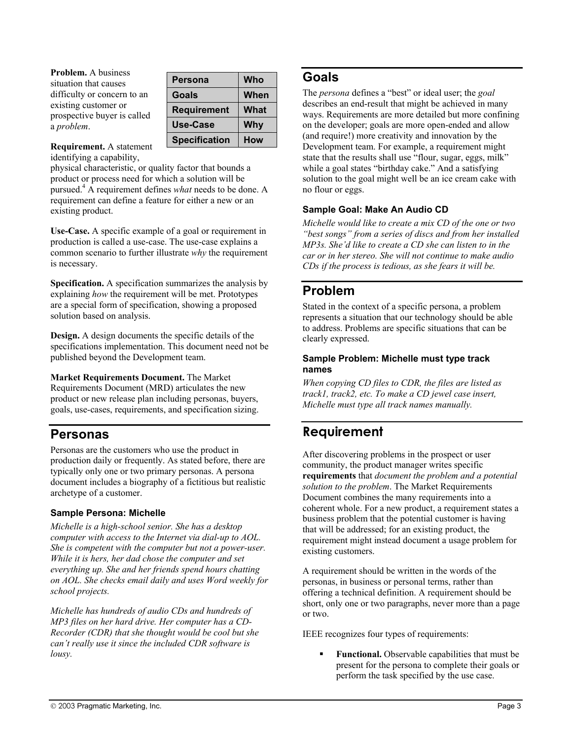**Problem.** A business situation that causes difficulty or concern to an existing customer or prospective buyer is called a *problem*.

| <b>Persona</b>       | Who        |
|----------------------|------------|
| Goals                | When       |
| <b>Requirement</b>   | What       |
| Use-Case             | <b>Why</b> |
| <b>Specification</b> | How        |

**Requirement.** A statement identifying a capability,

physical characteristic, or quality factor that bounds a product or process need for which a solution will be pursued.4 A requirement defines *what* needs to be done. A requirement can define a feature for either a new or an existing product.

**Use-Case.** A specific example of a goal or requirement in production is called a use-case. The use-case explains a common scenario to further illustrate *why* the requirement is necessary.

**Specification.** A specification summarizes the analysis by explaining *how* the requirement will be met. Prototypes are a special form of specification, showing a proposed solution based on analysis.

**Design.** A design documents the specific details of the specifications implementation. This document need not be published beyond the Development team.

**Market Requirements Document.** The Market Requirements Document (MRD) articulates the new product or new release plan including personas, buyers, goals, use-cases, requirements, and specification sizing.

### **Personas**

Personas are the customers who use the product in production daily or frequently. As stated before, there are typically only one or two primary personas. A persona document includes a biography of a fictitious but realistic archetype of a customer.

### **Sample Persona: Michelle**

*Michelle is a high-school senior. She has a desktop computer with access to the Internet via dial-up to AOL. She is competent with the computer but not a power-user. While it is hers, her dad chose the computer and set everything up. She and her friends spend hours chatting on AOL. She checks email daily and uses Word weekly for school projects.* 

*Michelle has hundreds of audio CDs and hundreds of MP3 files on her hard drive. Her computer has a CD-Recorder (CDR) that she thought would be cool but she can't really use it since the included CDR software is lousy.* 

### **Goals**

The *persona* defines a "best" or ideal user; the *goal* describes an end-result that might be achieved in many ways. Requirements are more detailed but more confining on the developer; goals are more open-ended and allow (and require!) more creativity and innovation by the Development team. For example, a requirement might state that the results shall use "flour, sugar, eggs, milk" while a goal states "birthday cake." And a satisfying solution to the goal might well be an ice cream cake with no flour or eggs.

### **Sample Goal: Make An Audio CD**

*Michelle would like to create a mix CD of the one or two "best songs" from a series of discs and from her installed MP3s. She'd like to create a CD she can listen to in the car or in her stereo. She will not continue to make audio CDs if the process is tedious, as she fears it will be.* 

## **Problem**

Stated in the context of a specific persona, a problem represents a situation that our technology should be able to address. Problems are specific situations that can be clearly expressed.

### **Sample Problem: Michelle must type track names**

*When copying CD files to CDR, the files are listed as track1, track2, etc. To make a CD jewel case insert, Michelle must type all track names manually.* 

## **Requirement**

After discovering problems in the prospect or user community, the product manager writes specific **requirements** that *document the problem and a potential solution to the problem*. The Market Requirements Document combines the many requirements into a coherent whole. For a new product, a requirement states a business problem that the potential customer is having that will be addressed; for an existing product, the requirement might instead document a usage problem for existing customers.

A requirement should be written in the words of the personas, in business or personal terms, rather than offering a technical definition. A requirement should be short, only one or two paragraphs, never more than a page or two.

IEEE recognizes four types of requirements:

 **Functional.** Observable capabilities that must be present for the persona to complete their goals or perform the task specified by the use case.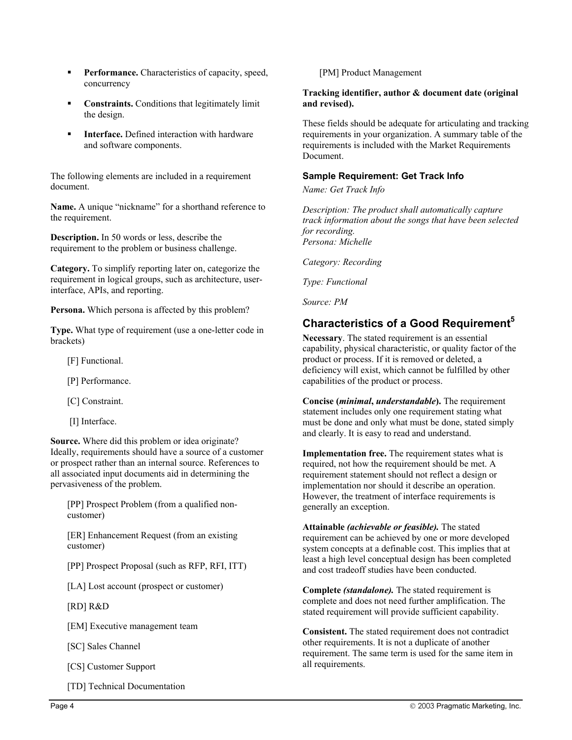- **Performance.** Characteristics of capacity, speed, concurrency
- **Constraints.** Conditions that legitimately limit the design.
- **Interface.** Defined interaction with hardware and software components.

The following elements are included in a requirement document.

**Name.** A unique "nickname" for a shorthand reference to the requirement.

**Description.** In 50 words or less, describe the requirement to the problem or business challenge.

**Category.** To simplify reporting later on, categorize the requirement in logical groups, such as architecture, userinterface, APIs, and reporting.

**Persona.** Which persona is affected by this problem?

**Type.** What type of requirement (use a one-letter code in brackets)

- [F] Functional.
- [P] Performance.

[C] Constraint.

[I] Interface.

**Source.** Where did this problem or idea originate? Ideally, requirements should have a source of a customer or prospect rather than an internal source. References to all associated input documents aid in determining the pervasiveness of the problem.

[PP] Prospect Problem (from a qualified noncustomer)

[ER] Enhancement Request (from an existing customer)

[PP] Prospect Proposal (such as RFP, RFI, ITT)

[LA] Lost account (prospect or customer)

[RD] R&D

[EM] Executive management team

[SC] Sales Channel

[CS] Customer Support

[TD] Technical Documentation

[PM] Product Management

#### **Tracking identifier, author & document date (original and revised).**

These fields should be adequate for articulating and tracking requirements in your organization. A summary table of the requirements is included with the Market Requirements Document.

#### **Sample Requirement: Get Track Info**

*Name: Get Track Info* 

*Description: The product shall automatically capture track information about the songs that have been selected for recording. Persona: Michelle* 

*Category: Recording* 

*Type: Functional* 

*Source: PM* 

### **Characteristics of a Good Requirement<sup>5</sup>**

**Necessary**. The stated requirement is an essential capability, physical characteristic, or quality factor of the product or process. If it is removed or deleted, a deficiency will exist, which cannot be fulfilled by other capabilities of the product or process.

**Concise (***minimal***,** *understandable***).** The requirement statement includes only one requirement stating what must be done and only what must be done, stated simply and clearly. It is easy to read and understand.

**Implementation free.** The requirement states what is required, not how the requirement should be met. A requirement statement should not reflect a design or implementation nor should it describe an operation. However, the treatment of interface requirements is generally an exception.

**Attainable** *(achievable or feasible).* The stated requirement can be achieved by one or more developed system concepts at a definable cost. This implies that at least a high level conceptual design has been completed and cost tradeoff studies have been conducted.

**Complete** *(standalone).* The stated requirement is complete and does not need further amplification. The stated requirement will provide sufficient capability.

**Consistent.** The stated requirement does not contradict other requirements. It is not a duplicate of another requirement. The same term is used for the same item in all requirements.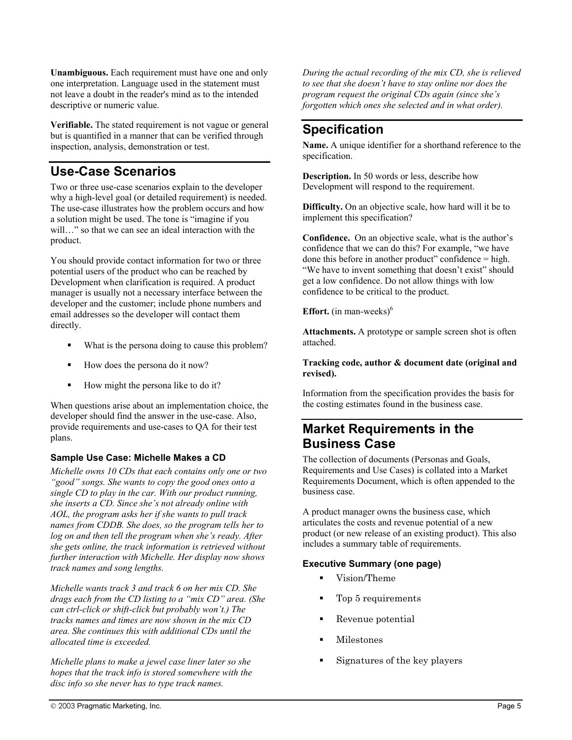**Unambiguous.** Each requirement must have one and only one interpretation. Language used in the statement must not leave a doubt in the reader's mind as to the intended descriptive or numeric value.

**Verifiable.** The stated requirement is not vague or general but is quantified in a manner that can be verified through inspection, analysis, demonstration or test.

## **Use-Case Scenarios**

Two or three use-case scenarios explain to the developer why a high-level goal (or detailed requirement) is needed. The use-case illustrates how the problem occurs and how a solution might be used. The tone is "imagine if you will..." so that we can see an ideal interaction with the product.

You should provide contact information for two or three potential users of the product who can be reached by Development when clarification is required. A product manager is usually not a necessary interface between the developer and the customer; include phone numbers and email addresses so the developer will contact them directly.

- What is the persona doing to cause this problem?
- How does the persona do it now?
- How might the persona like to do it?

When questions arise about an implementation choice, the developer should find the answer in the use-case. Also, provide requirements and use-cases to QA for their test plans.

### **Sample Use Case: Michelle Makes a CD**

*Michelle owns 10 CDs that each contains only one or two "good" songs. She wants to copy the good ones onto a single CD to play in the car. With our product running, she inserts a CD. Since she's not already online with AOL, the program asks her if she wants to pull track names from CDDB. She does, so the program tells her to log on and then tell the program when she's ready. After she gets online, the track information is retrieved without further interaction with Michelle. Her display now shows track names and song lengths.* 

*Michelle wants track 3 and track 6 on her mix CD. She drags each from the CD listing to a "mix CD" area. (She can ctrl-click or shift-click but probably won't.) The tracks names and times are now shown in the mix CD area. She continues this with additional CDs until the allocated time is exceeded.* 

*Michelle plans to make a jewel case liner later so she hopes that the track info is stored somewhere with the disc info so she never has to type track names.* 

*During the actual recording of the mix CD, she is relieved to see that she doesn't have to stay online nor does the program request the original CDs again (since she's forgotten which ones she selected and in what order).* 

## **Specification**

**Name.** A unique identifier for a shorthand reference to the specification.

**Description.** In 50 words or less, describe how Development will respond to the requirement.

**Difficulty.** On an objective scale, how hard will it be to implement this specification?

**Confidence.** On an objective scale, what is the author's confidence that we can do this? For example, "we have done this before in another product" confidence = high. "We have to invent something that doesn't exist" should get a low confidence. Do not allow things with low confidence to be critical to the product.

**Effort.** (in man-weeks) $<sup>6</sup>$ </sup>

**Attachments.** A prototype or sample screen shot is often attached.

#### **Tracking code, author & document date (original and revised).**

Information from the specification provides the basis for the costing estimates found in the business case.

## **Market Requirements in the Business Case**

The collection of documents (Personas and Goals, Requirements and Use Cases) is collated into a Market Requirements Document, which is often appended to the business case.

A product manager owns the business case, which articulates the costs and revenue potential of a new product (or new release of an existing product). This also includes a summary table of requirements.

### **Executive Summary (one page)**

- Uision/Theme
- Top 5 requirements
- Revenue potential
- **Milestones**
- Signatures of the key players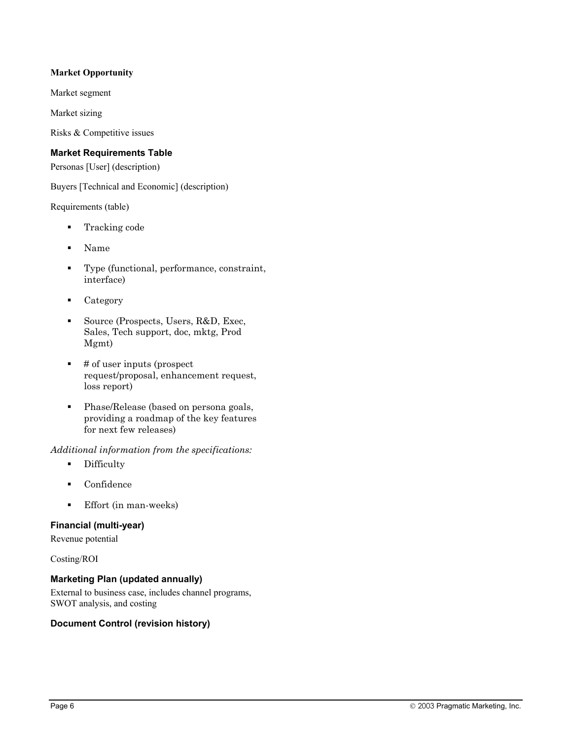### **Market Opportunity**

Market segment

Market sizing

Risks & Competitive issues

#### **Market Requirements Table**

Personas [User] (description)

Buyers [Technical and Economic] (description)

Requirements (table)

- **Tracking code**
- Name
- Type (functional, performance, constraint, interface)
- Category
- Source (Prospects, Users, R&D, Exec, Sales, Tech support, doc, mktg, Prod Mgmt)
- $\blacksquare$  # of user inputs (prospect request/proposal, enhancement request, loss report)
- Phase/Release (based on persona goals, providing a roadmap of the key features for next few releases)

*Additional information from the specifications:* 

- **-** Difficulty
- **Confidence**
- Effort (in man-weeks)

### **Financial (multi-year)**

Revenue potential

Costing/ROI

### **Marketing Plan (updated annually)**

External to business case, includes channel programs, SWOT analysis, and costing

#### **Document Control (revision history)**